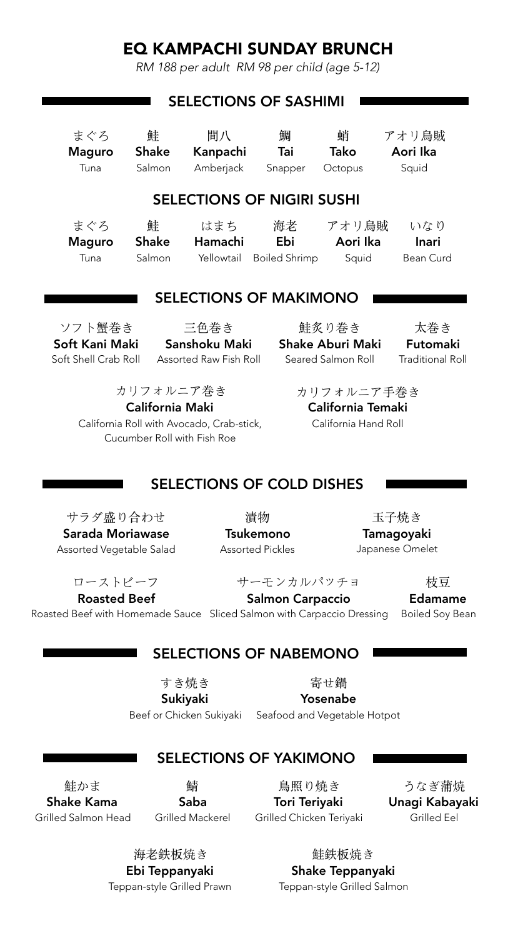# EQ KAMPACHI SUNDAY BRUNCH

*RM 188 per adult RM 98 per child (age 5-12)* 

|                                                                   |                             | <b>SELECTIONS OF SASHIMI</b>     |                         |             |                         |  |
|-------------------------------------------------------------------|-----------------------------|----------------------------------|-------------------------|-------------|-------------------------|--|
|                                                                   |                             |                                  |                         |             |                         |  |
| まぐろ                                                               | 鮭                           | 間八                               | 鯛                       | 蛸           | アオリ烏賊                   |  |
| <b>Maguro</b>                                                     | <b>Shake</b>                | Kanpachi                         | Tai                     | <b>Tako</b> | Aori Ika                |  |
| Tuna                                                              | Salmon                      | Amberjack                        | Snapper                 | Octopus     | Squid                   |  |
| <b>SELECTIONS OF NIGIRI SUSHI</b>                                 |                             |                                  |                         |             |                         |  |
|                                                                   |                             |                                  |                         |             |                         |  |
| まぐろ                                                               | 鮭                           | はまち                              | 海老                      | アオリ烏賊       | いなり                     |  |
| <b>Maguro</b>                                                     | <b>Shake</b>                | Hamachi                          | Ebi                     | Aori Ika    | <b>Inari</b>            |  |
| Tuna                                                              | Salmon                      | Yellowtail                       | <b>Boiled Shrimp</b>    | Squid       | <b>Bean Curd</b>        |  |
|                                                                   |                             |                                  |                         |             |                         |  |
| <b>SELECTIONS OF MAKIMONO</b>                                     |                             |                                  |                         |             |                         |  |
| ソフト蟹巻き                                                            |                             | 三色巻き                             | 鮭炙り巻き                   |             | 太巻き                     |  |
| Soft Kani Maki                                                    |                             | Sanshoku Maki                    | <b>Shake Aburi Maki</b> |             | Futomaki                |  |
| Soft Shell Crab Roll                                              |                             | Assorted Raw Fish Roll           | Seared Salmon Roll      |             | <b>Traditional Roll</b> |  |
|                                                                   |                             |                                  |                         |             |                         |  |
|                                                                   | カリフォルニア巻き                   |                                  |                         | カリフォルニア手巻き  |                         |  |
| California Temaki<br><b>California Maki</b>                       |                             |                                  |                         |             |                         |  |
| California Roll with Avocado, Crab-stick,<br>California Hand Roll |                             |                                  |                         |             |                         |  |
|                                                                   | Cucumber Roll with Fish Roe |                                  |                         |             |                         |  |
|                                                                   |                             |                                  |                         |             |                         |  |
|                                                                   |                             | <b>SELECTIONS OF COLD DISHES</b> |                         |             |                         |  |
|                                                                   |                             |                                  |                         |             |                         |  |
| サラダ盛り合わせ                                                          |                             |                                  | 漬物                      |             | 玉子焼き                    |  |
| Sarada Moriawase                                                  |                             |                                  | Tsukemono               |             | <b>Tamagoyaki</b>       |  |
| Assorted Vegetable Salad                                          |                             |                                  | <b>Assorted Pickles</b> |             | Japanese Omelet         |  |
|                                                                   |                             |                                  |                         |             |                         |  |
| ローストビーフ                                                           |                             |                                  | サーモンカルパッチョ              |             | 枝豆                      |  |
| <b>Roasted Beef</b>                                               |                             | <b>Salmon Carpaccio</b>          |                         |             | <b>Edamame</b>          |  |

Salmon Carpaccio

# Roasted Beef with Homemade Sauce Sliced Salmon with Carpaccio Dressing Boiled Soy Bean

Edamame

### SELECTIONS OF NABEMONO

すき焼き

寄せ鍋

Sukiyaki Beef or Chicken Sukiyaki

Yosenabe Seafood and Vegetable Hotpot

### SELECTIONS OF YAKIMONO

鮭かま Shake Kama Grilled Salmon Head

鯖 Saba Grilled Mackerel

鳥照り焼き Tori Teriyaki Grilled Chicken Teriyaki

うなぎ蒲焼 Unagi Kabayaki Grilled Eel

海老鉄板焼き Ebi Teppanyaki Teppan-style Grilled Prawn

鮭鉄板焼き Shake Teppanyaki Teppan-style Grilled Salmon